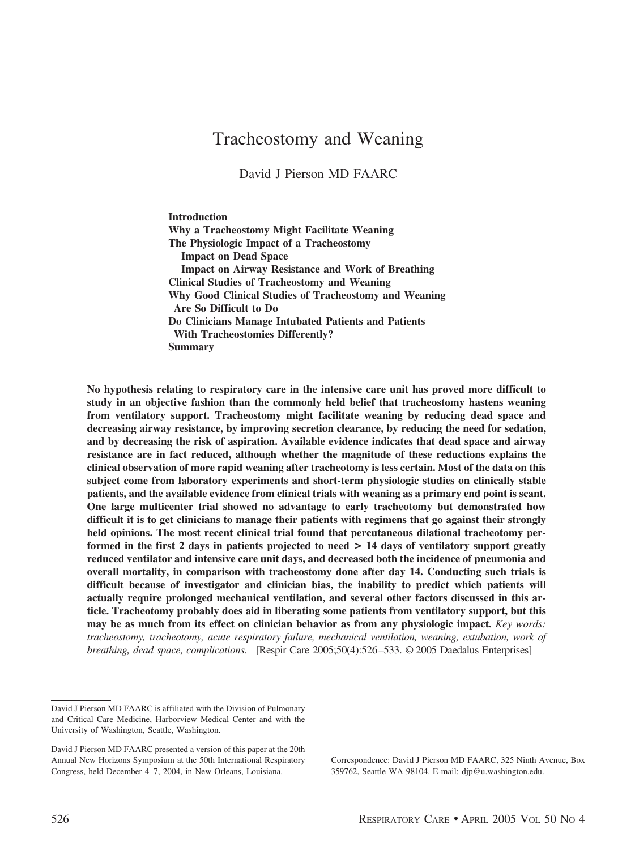# Tracheostomy and Weaning

David J Pierson MD FAARC

**Introduction Why a Tracheostomy Might Facilitate Weaning The Physiologic Impact of a Tracheostomy Impact on Dead Space Impact on Airway Resistance and Work of Breathing Clinical Studies of Tracheostomy and Weaning Why Good Clinical Studies of Tracheostomy and Weaning Are So Difficult to Do Do Clinicians Manage Intubated Patients and Patients With Tracheostomies Differently? Summary**

**No hypothesis relating to respiratory care in the intensive care unit has proved more difficult to study in an objective fashion than the commonly held belief that tracheostomy hastens weaning from ventilatory support. Tracheostomy might facilitate weaning by reducing dead space and decreasing airway resistance, by improving secretion clearance, by reducing the need for sedation, and by decreasing the risk of aspiration. Available evidence indicates that dead space and airway resistance are in fact reduced, although whether the magnitude of these reductions explains the clinical observation of more rapid weaning after tracheotomy is less certain. Most of the data on this subject come from laboratory experiments and short-term physiologic studies on clinically stable patients, and the available evidence from clinical trials with weaning as a primary end point is scant. One large multicenter trial showed no advantage to early tracheotomy but demonstrated how difficult it is to get clinicians to manage their patients with regimens that go against their strongly held opinions. The most recent clinical trial found that percutaneous dilational tracheotomy performed in the first 2 days in patients projected to need > 14 days of ventilatory support greatly reduced ventilator and intensive care unit days, and decreased both the incidence of pneumonia and overall mortality, in comparison with tracheostomy done after day 14. Conducting such trials is difficult because of investigator and clinician bias, the inability to predict which patients will actually require prolonged mechanical ventilation, and several other factors discussed in this article. Tracheotomy probably does aid in liberating some patients from ventilatory support, but this may be as much from its effect on clinician behavior as from any physiologic impact.** *Key words: tracheostomy, tracheotomy, acute respiratory failure, mechanical ventilation, weaning, extubation, work of breathing, dead space, complications*. [Respir Care 2005;50(4):526–533. © 2005 Daedalus Enterprises]

David J Pierson MD FAARC is affiliated with the Division of Pulmonary and Critical Care Medicine, Harborview Medical Center and with the University of Washington, Seattle, Washington.

David J Pierson MD FAARC presented a version of this paper at the 20th Annual New Horizons Symposium at the 50th International Respiratory Congress, held December 4–7, 2004, in New Orleans, Louisiana.

Correspondence: David J Pierson MD FAARC, 325 Ninth Avenue, Box 359762, Seattle WA 98104. E-mail: djp@u.washington.edu.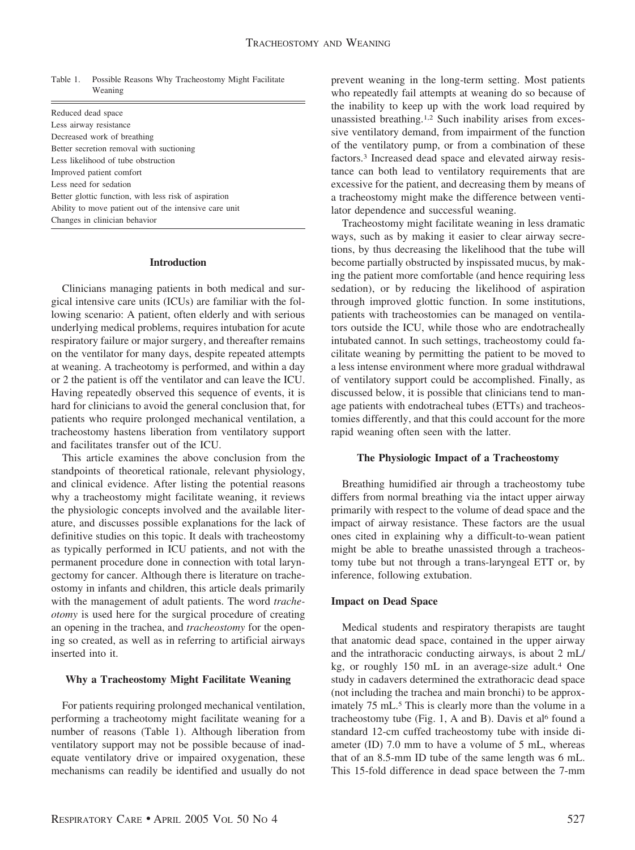Table 1. Possible Reasons Why Tracheostomy Might Facilitate Weaning

| Reduced dead space                                     |
|--------------------------------------------------------|
| Less airway resistance                                 |
| Decreased work of breathing                            |
| Better secretion removal with suctioning               |
| Less likelihood of tube obstruction                    |
| Improved patient comfort                               |
| Less need for sedation                                 |
| Better glottic function, with less risk of aspiration  |
| Ability to move patient out of the intensive care unit |
| Changes in clinician behavior                          |
|                                                        |

### **Introduction**

Clinicians managing patients in both medical and surgical intensive care units (ICUs) are familiar with the following scenario: A patient, often elderly and with serious underlying medical problems, requires intubation for acute respiratory failure or major surgery, and thereafter remains on the ventilator for many days, despite repeated attempts at weaning. A tracheotomy is performed, and within a day or 2 the patient is off the ventilator and can leave the ICU. Having repeatedly observed this sequence of events, it is hard for clinicians to avoid the general conclusion that, for patients who require prolonged mechanical ventilation, a tracheostomy hastens liberation from ventilatory support and facilitates transfer out of the ICU.

This article examines the above conclusion from the standpoints of theoretical rationale, relevant physiology, and clinical evidence. After listing the potential reasons why a tracheostomy might facilitate weaning, it reviews the physiologic concepts involved and the available literature, and discusses possible explanations for the lack of definitive studies on this topic. It deals with tracheostomy as typically performed in ICU patients, and not with the permanent procedure done in connection with total laryngectomy for cancer. Although there is literature on tracheostomy in infants and children, this article deals primarily with the management of adult patients. The word *tracheotomy* is used here for the surgical procedure of creating an opening in the trachea, and *tracheostomy* for the opening so created, as well as in referring to artificial airways inserted into it.

### **Why a Tracheostomy Might Facilitate Weaning**

For patients requiring prolonged mechanical ventilation, performing a tracheotomy might facilitate weaning for a number of reasons (Table 1). Although liberation from ventilatory support may not be possible because of inadequate ventilatory drive or impaired oxygenation, these mechanisms can readily be identified and usually do not

prevent weaning in the long-term setting. Most patients who repeatedly fail attempts at weaning do so because of the inability to keep up with the work load required by unassisted breathing.1,2 Such inability arises from excessive ventilatory demand, from impairment of the function of the ventilatory pump, or from a combination of these factors.3 Increased dead space and elevated airway resistance can both lead to ventilatory requirements that are excessive for the patient, and decreasing them by means of a tracheostomy might make the difference between ventilator dependence and successful weaning.

Tracheostomy might facilitate weaning in less dramatic ways, such as by making it easier to clear airway secretions, by thus decreasing the likelihood that the tube will become partially obstructed by inspissated mucus, by making the patient more comfortable (and hence requiring less sedation), or by reducing the likelihood of aspiration through improved glottic function. In some institutions, patients with tracheostomies can be managed on ventilators outside the ICU, while those who are endotracheally intubated cannot. In such settings, tracheostomy could facilitate weaning by permitting the patient to be moved to a less intense environment where more gradual withdrawal of ventilatory support could be accomplished. Finally, as discussed below, it is possible that clinicians tend to manage patients with endotracheal tubes (ETTs) and tracheostomies differently, and that this could account for the more rapid weaning often seen with the latter.

#### **The Physiologic Impact of a Tracheostomy**

Breathing humidified air through a tracheostomy tube differs from normal breathing via the intact upper airway primarily with respect to the volume of dead space and the impact of airway resistance. These factors are the usual ones cited in explaining why a difficult-to-wean patient might be able to breathe unassisted through a tracheostomy tube but not through a trans-laryngeal ETT or, by inference, following extubation.

#### **Impact on Dead Space**

Medical students and respiratory therapists are taught that anatomic dead space, contained in the upper airway and the intrathoracic conducting airways, is about 2 mL/ kg, or roughly 150 mL in an average-size adult.4 One study in cadavers determined the extrathoracic dead space (not including the trachea and main bronchi) to be approximately 75 mL.<sup>5</sup> This is clearly more than the volume in a tracheostomy tube (Fig. 1, A and B). Davis et al<sup>6</sup> found a standard 12-cm cuffed tracheostomy tube with inside diameter (ID) 7.0 mm to have a volume of 5 mL, whereas that of an 8.5-mm ID tube of the same length was 6 mL. This 15-fold difference in dead space between the 7-mm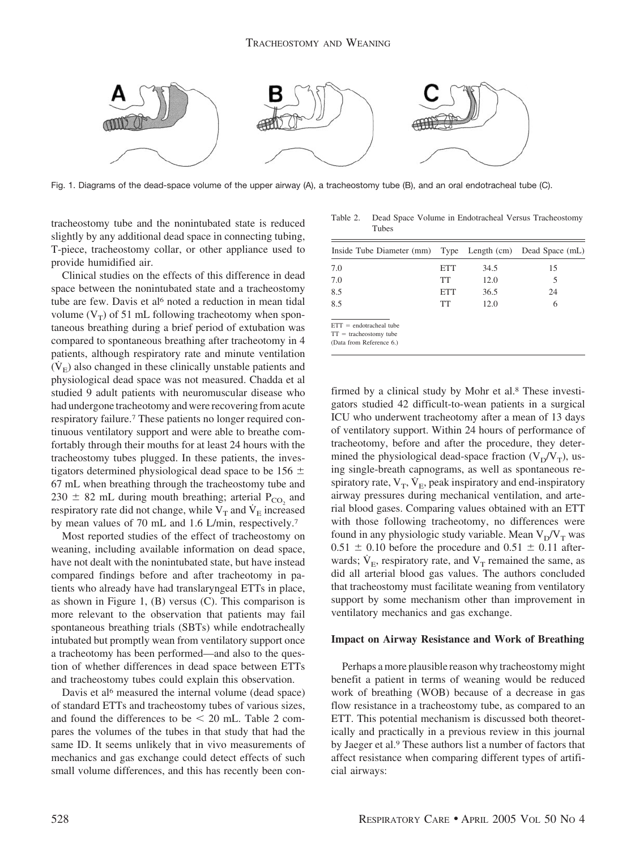

Fig. 1. Diagrams of the dead-space volume of the upper airway (A), a tracheostomy tube (B), and an oral endotracheal tube (C).

tracheostomy tube and the nonintubated state is reduced slightly by any additional dead space in connecting tubing, T-piece, tracheostomy collar, or other appliance used to provide humidified air.

Clinical studies on the effects of this difference in dead space between the nonintubated state and a tracheostomy tube are few. Davis et al<sup>6</sup> noted a reduction in mean tidal volume  $(V_T)$  of 51 mL following tracheotomy when spontaneous breathing during a brief period of extubation was compared to spontaneous breathing after tracheotomy in 4 patients, although respiratory rate and minute ventilation  $(V<sub>E</sub>)$  also changed in these clinically unstable patients and physiological dead space was not measured. Chadda et al studied 9 adult patients with neuromuscular disease who had undergone tracheotomy and were recovering from acute respiratory failure.7 These patients no longer required continuous ventilatory support and were able to breathe comfortably through their mouths for at least 24 hours with the tracheostomy tubes plugged. In these patients, the investigators determined physiological dead space to be 156  $\pm$ 67 mL when breathing through the tracheostomy tube and  $230 \pm 82$  mL during mouth breathing; arterial P<sub>CO<sub>2</sub></sub> and respiratory rate did not change, while  $V_T$  and  $\dot{V}_E$  increased by mean values of 70 mL and 1.6 L/min, respectively.7

Most reported studies of the effect of tracheostomy on weaning, including available information on dead space, have not dealt with the nonintubated state, but have instead compared findings before and after tracheotomy in patients who already have had translaryngeal ETTs in place, as shown in Figure 1, (B) versus (C). This comparison is more relevant to the observation that patients may fail spontaneous breathing trials (SBTs) while endotracheally intubated but promptly wean from ventilatory support once a tracheotomy has been performed—and also to the question of whether differences in dead space between ETTs and tracheostomy tubes could explain this observation.

Davis et al<sup>6</sup> measured the internal volume (dead space) of standard ETTs and tracheostomy tubes of various sizes, and found the differences to be  $\leq$  20 mL. Table 2 compares the volumes of the tubes in that study that had the same ID. It seems unlikely that in vivo measurements of mechanics and gas exchange could detect effects of such small volume differences, and this has recently been con-

Table 2. Dead Space Volume in Endotracheal Versus Tracheostomy Tubes

| Inside Tube Diameter (mm)                                                         |     |      | Type Length (cm) Dead Space (mL) |
|-----------------------------------------------------------------------------------|-----|------|----------------------------------|
| 7.0                                                                               | ETT | 34.5 | 15                               |
| 7.0                                                                               | TT  | 12.0 | 5                                |
| 8.5                                                                               | ETT | 36.5 | 24                               |
| 8.5                                                                               | TT  | 12.0 | 6                                |
| $ETT = endotracheal$ tube<br>$TT =$ tracheostomy tube<br>(Data from Reference 6.) |     |      |                                  |

firmed by a clinical study by Mohr et al.8 These investigators studied 42 difficult-to-wean patients in a surgical ICU who underwent tracheotomy after a mean of 13 days of ventilatory support. Within 24 hours of performance of tracheotomy, before and after the procedure, they determined the physiological dead-space fraction  $(V_D/V_T)$ , using single-breath capnograms, as well as spontaneous respiratory rate,  $V_T$ ,  $\dot{V}_E$ , peak inspiratory and end-inspiratory airway pressures during mechanical ventilation, and arterial blood gases. Comparing values obtained with an ETT with those following tracheotomy, no differences were found in any physiologic study variable. Mean  $V_D/V_T$  was  $0.51 \pm 0.10$  before the procedure and  $0.51 \pm 0.11$  afterwards;  $\dot{V}_E$ , respiratory rate, and  $V_T$  remained the same, as did all arterial blood gas values. The authors concluded that tracheostomy must facilitate weaning from ventilatory support by some mechanism other than improvement in ventilatory mechanics and gas exchange.

#### **Impact on Airway Resistance and Work of Breathing**

Perhaps a more plausible reason why tracheostomy might benefit a patient in terms of weaning would be reduced work of breathing (WOB) because of a decrease in gas flow resistance in a tracheostomy tube, as compared to an ETT. This potential mechanism is discussed both theoretically and practically in a previous review in this journal by Jaeger et al.9 These authors list a number of factors that affect resistance when comparing different types of artificial airways: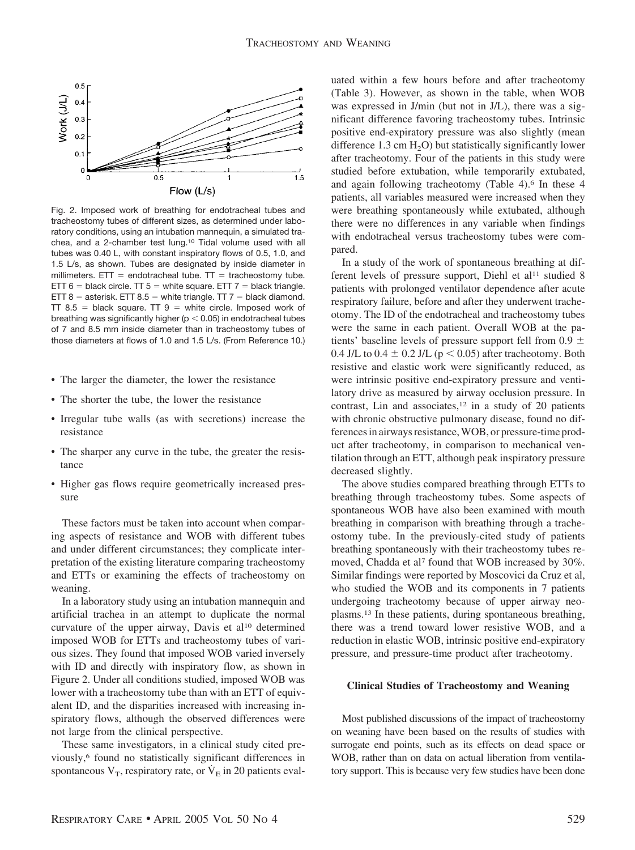

Fig. 2. Imposed work of breathing for endotracheal tubes and tracheostomy tubes of different sizes, as determined under laboratory conditions, using an intubation mannequin, a simulated trachea, and a 2-chamber test lung.10 Tidal volume used with all tubes was 0.40 L, with constant inspiratory flows of 0.5, 1.0, and 1.5 L/s, as shown. Tubes are designated by inside diameter in millimeters. ETT = endotracheal tube.  $TT$  = tracheostomy tube. ETT  $6 =$  black circle. TT  $5 =$  white square. ETT  $7 =$  black triangle. ETT  $8 =$  asterisk. ETT  $8.5 =$  white triangle. TT  $7 =$  black diamond. TT 8.5 = black square. TT  $9$  = white circle. Imposed work of breathing was significantly higher (p  $<$  0.05) in endotracheal tubes of 7 and 8.5 mm inside diameter than in tracheostomy tubes of those diameters at flows of 1.0 and 1.5 L/s. (From Reference 10.)

- The larger the diameter, the lower the resistance
- The shorter the tube, the lower the resistance
- Irregular tube walls (as with secretions) increase the resistance
- The sharper any curve in the tube, the greater the resistance
- Higher gas flows require geometrically increased pressure

These factors must be taken into account when comparing aspects of resistance and WOB with different tubes and under different circumstances; they complicate interpretation of the existing literature comparing tracheostomy and ETTs or examining the effects of tracheostomy on weaning.

In a laboratory study using an intubation mannequin and artificial trachea in an attempt to duplicate the normal curvature of the upper airway, Davis et al<sup>10</sup> determined imposed WOB for ETTs and tracheostomy tubes of various sizes. They found that imposed WOB varied inversely with ID and directly with inspiratory flow, as shown in Figure 2. Under all conditions studied, imposed WOB was lower with a tracheostomy tube than with an ETT of equivalent ID, and the disparities increased with increasing inspiratory flows, although the observed differences were not large from the clinical perspective.

These same investigators, in a clinical study cited previously,6 found no statistically significant differences in spontaneous  $V_T$ , respiratory rate, or  $\dot{V}_E$  in 20 patients evaluated within a few hours before and after tracheotomy (Table 3). However, as shown in the table, when WOB was expressed in J/min (but not in J/L), there was a significant difference favoring tracheostomy tubes. Intrinsic positive end-expiratory pressure was also slightly (mean difference 1.3 cm  $H_2O$ ) but statistically significantly lower after tracheotomy. Four of the patients in this study were studied before extubation, while temporarily extubated, and again following tracheotomy (Table 4).<sup>6</sup> In these 4 patients, all variables measured were increased when they were breathing spontaneously while extubated, although there were no differences in any variable when findings with endotracheal versus tracheostomy tubes were compared.

In a study of the work of spontaneous breathing at different levels of pressure support, Diehl et al<sup>11</sup> studied 8 patients with prolonged ventilator dependence after acute respiratory failure, before and after they underwent tracheotomy. The ID of the endotracheal and tracheostomy tubes were the same in each patient. Overall WOB at the patients' baseline levels of pressure support fell from 0.9  $\pm$ 0.4 J/L to  $0.4 \pm 0.2$  J/L ( $p < 0.05$ ) after tracheotomy. Both resistive and elastic work were significantly reduced, as were intrinsic positive end-expiratory pressure and ventilatory drive as measured by airway occlusion pressure. In contrast, Lin and associates, $12$  in a study of 20 patients with chronic obstructive pulmonary disease, found no differences in airways resistance, WOB, or pressure-time product after tracheotomy, in comparison to mechanical ventilation through an ETT, although peak inspiratory pressure decreased slightly.

The above studies compared breathing through ETTs to breathing through tracheostomy tubes. Some aspects of spontaneous WOB have also been examined with mouth breathing in comparison with breathing through a tracheostomy tube. In the previously-cited study of patients breathing spontaneously with their tracheostomy tubes removed, Chadda et al<sup>7</sup> found that WOB increased by 30%. Similar findings were reported by Moscovici da Cruz et al, who studied the WOB and its components in 7 patients undergoing tracheotomy because of upper airway neoplasms.13 In these patients, during spontaneous breathing, there was a trend toward lower resistive WOB, and a reduction in elastic WOB, intrinsic positive end-expiratory pressure, and pressure-time product after tracheotomy.

#### **Clinical Studies of Tracheostomy and Weaning**

Most published discussions of the impact of tracheostomy on weaning have been based on the results of studies with surrogate end points, such as its effects on dead space or WOB, rather than on data on actual liberation from ventilatory support. This is because very few studies have been done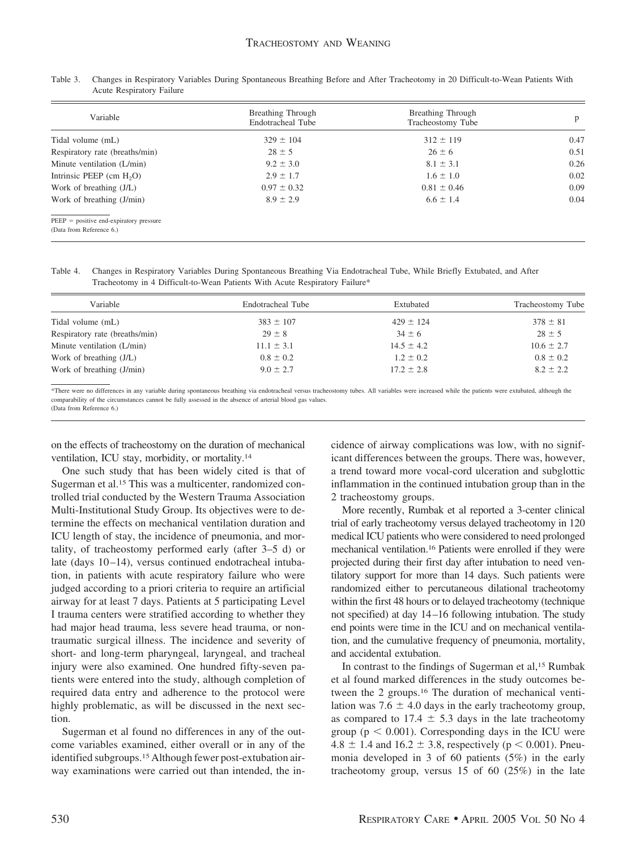| Variable                                                              | Breathing Through<br>Endotracheal Tube | <b>Breathing Through</b><br>Tracheostomy Tube | p    |
|-----------------------------------------------------------------------|----------------------------------------|-----------------------------------------------|------|
| Tidal volume (mL)                                                     | $329 \pm 104$                          | $312 \pm 119$                                 | 0.47 |
| Respiratory rate (breaths/min)                                        | $28 \pm 5$                             | $26 \pm 6$                                    | 0.51 |
| Minute ventilation (L/min)                                            | $9.2 \pm 3.0$                          | $8.1 \pm 3.1$                                 | 0.26 |
| Intrinsic PEEP $(cm H2O)$                                             | $2.9 \pm 1.7$                          | $1.6 \pm 1.0$                                 | 0.02 |
| Work of breathing (J/L)                                               | $0.97 \pm 0.32$                        | $0.81 \pm 0.46$                               | 0.09 |
| Work of breathing (J/min)                                             | $8.9 \pm 2.9$                          | $6.6 \pm 1.4$                                 | 0.04 |
| $PEEP = positive end-expiratory pressure$<br>(Data from Reference 6.) |                                        |                                               |      |

Table 3. Changes in Respiratory Variables During Spontaneous Breathing Before and After Tracheotomy in 20 Difficult-to-Wean Patients With Acute Respiratory Failure

Table 4. Changes in Respiratory Variables During Spontaneous Breathing Via Endotracheal Tube, While Briefly Extubated, and After Tracheotomy in 4 Difficult-to-Wean Patients With Acute Respiratory Failure\*

| Variable                       | Endotracheal Tube | Extubated      | Tracheostomy Tube |
|--------------------------------|-------------------|----------------|-------------------|
| Tidal volume (mL)              | $383 \pm 107$     | $429 \pm 124$  | $378 \pm 81$      |
| Respiratory rate (breaths/min) | $29 \pm 8$        | $34 \pm 6$     | $28 \pm 5$        |
| Minute ventilation (L/min)     | $11.1 \pm 3.1$    | $14.5 \pm 4.2$ | $10.6 \pm 2.7$    |
| Work of breathing (J/L)        | $0.8 \pm 0.2$     | $1.2 \pm 0.2$  | $0.8 \pm 0.2$     |
| Work of breathing (J/min)      | $9.0 \pm 2.7$     | $17.2 \pm 2.8$ | $8.2 \pm 2.2$     |

\*There were no differences in any variable during spontaneous breathing via endotracheal versus tracheostomy tubes. All variables were increased while the patients were extubated, although the comparability of the circumstances cannot be fully assessed in the absence of arterial blood gas values. (Data from Reference 6.)

on the effects of tracheostomy on the duration of mechanical ventilation, ICU stay, morbidity, or mortality.14

One such study that has been widely cited is that of Sugerman et al.15 This was a multicenter, randomized controlled trial conducted by the Western Trauma Association Multi-Institutional Study Group. Its objectives were to determine the effects on mechanical ventilation duration and ICU length of stay, the incidence of pneumonia, and mortality, of tracheostomy performed early (after 3–5 d) or late (days 10–14), versus continued endotracheal intubation, in patients with acute respiratory failure who were judged according to a priori criteria to require an artificial airway for at least 7 days. Patients at 5 participating Level I trauma centers were stratified according to whether they had major head trauma, less severe head trauma, or nontraumatic surgical illness. The incidence and severity of short- and long-term pharyngeal, laryngeal, and tracheal injury were also examined. One hundred fifty-seven patients were entered into the study, although completion of required data entry and adherence to the protocol were highly problematic, as will be discussed in the next section.

Sugerman et al found no differences in any of the outcome variables examined, either overall or in any of the identified subgroups.15 Although fewer post-extubation airway examinations were carried out than intended, the incidence of airway complications was low, with no significant differences between the groups. There was, however, a trend toward more vocal-cord ulceration and subglottic inflammation in the continued intubation group than in the 2 tracheostomy groups.

More recently, Rumbak et al reported a 3-center clinical trial of early tracheotomy versus delayed tracheotomy in 120 medical ICU patients who were considered to need prolonged mechanical ventilation.16 Patients were enrolled if they were projected during their first day after intubation to need ventilatory support for more than 14 days. Such patients were randomized either to percutaneous dilational tracheotomy within the first 48 hours or to delayed tracheotomy (technique not specified) at day 14–16 following intubation. The study end points were time in the ICU and on mechanical ventilation, and the cumulative frequency of pneumonia, mortality, and accidental extubation.

In contrast to the findings of Sugerman et al,<sup>15</sup> Rumbak et al found marked differences in the study outcomes between the 2 groups.16 The duration of mechanical ventilation was  $7.6 \pm 4.0$  days in the early tracheotomy group, as compared to 17.4  $\pm$  5.3 days in the late tracheotomy group ( $p < 0.001$ ). Corresponding days in the ICU were  $4.8 \pm 1.4$  and  $16.2 \pm 3.8$ , respectively ( $p < 0.001$ ). Pneumonia developed in 3 of 60 patients (5%) in the early tracheotomy group, versus 15 of 60 (25%) in the late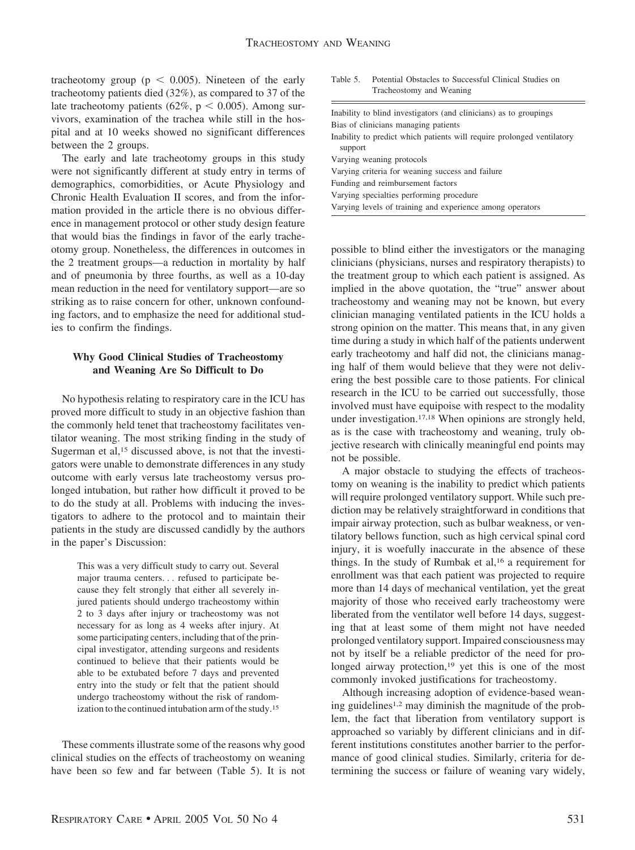tracheotomy group ( $p < 0.005$ ). Nineteen of the early tracheotomy patients died (32%), as compared to 37 of the late tracheotomy patients ( $62\%$ ,  $p < 0.005$ ). Among survivors, examination of the trachea while still in the hospital and at 10 weeks showed no significant differences between the 2 groups.

The early and late tracheotomy groups in this study were not significantly different at study entry in terms of demographics, comorbidities, or Acute Physiology and Chronic Health Evaluation II scores, and from the information provided in the article there is no obvious difference in management protocol or other study design feature that would bias the findings in favor of the early tracheotomy group. Nonetheless, the differences in outcomes in the 2 treatment groups—a reduction in mortality by half and of pneumonia by three fourths, as well as a 10-day mean reduction in the need for ventilatory support—are so striking as to raise concern for other, unknown confounding factors, and to emphasize the need for additional studies to confirm the findings.

## **Why Good Clinical Studies of Tracheostomy and Weaning Are So Difficult to Do**

No hypothesis relating to respiratory care in the ICU has proved more difficult to study in an objective fashion than the commonly held tenet that tracheostomy facilitates ventilator weaning. The most striking finding in the study of Sugerman et al,<sup>15</sup> discussed above, is not that the investigators were unable to demonstrate differences in any study outcome with early versus late tracheostomy versus prolonged intubation, but rather how difficult it proved to be to do the study at all. Problems with inducing the investigators to adhere to the protocol and to maintain their patients in the study are discussed candidly by the authors in the paper's Discussion:

This was a very difficult study to carry out. Several major trauma centers. . . refused to participate because they felt strongly that either all severely injured patients should undergo tracheostomy within 2 to 3 days after injury or tracheostomy was not necessary for as long as 4 weeks after injury. At some participating centers, including that of the principal investigator, attending surgeons and residents continued to believe that their patients would be able to be extubated before 7 days and prevented entry into the study or felt that the patient should undergo tracheostomy without the risk of randomization to the continued intubation arm of the study.15

These comments illustrate some of the reasons why good clinical studies on the effects of tracheostomy on weaning have been so few and far between (Table 5). It is not

Table 5. Potential Obstacles to Successful Clinical Studies on Tracheostomy and Weaning

| Inability to blind investigators (and clinicians) as to groupings      |
|------------------------------------------------------------------------|
| Bias of clinicians managing patients                                   |
| Inability to predict which patients will require prolonged ventilatory |
| support                                                                |
| Varying weaning protocols                                              |
| Varying criteria for weaning success and failure                       |
| Funding and reimbursement factors                                      |
| Varying specialties performing procedure                               |
| Varying levels of training and experience among operators              |
|                                                                        |

possible to blind either the investigators or the managing clinicians (physicians, nurses and respiratory therapists) to the treatment group to which each patient is assigned. As implied in the above quotation, the "true" answer about tracheostomy and weaning may not be known, but every clinician managing ventilated patients in the ICU holds a strong opinion on the matter. This means that, in any given time during a study in which half of the patients underwent early tracheotomy and half did not, the clinicians managing half of them would believe that they were not delivering the best possible care to those patients. For clinical research in the ICU to be carried out successfully, those involved must have equipoise with respect to the modality under investigation.17,18 When opinions are strongly held, as is the case with tracheostomy and weaning, truly objective research with clinically meaningful end points may not be possible.

A major obstacle to studying the effects of tracheostomy on weaning is the inability to predict which patients will require prolonged ventilatory support. While such prediction may be relatively straightforward in conditions that impair airway protection, such as bulbar weakness, or ventilatory bellows function, such as high cervical spinal cord injury, it is woefully inaccurate in the absence of these things. In the study of Rumbak et al,16 a requirement for enrollment was that each patient was projected to require more than 14 days of mechanical ventilation, yet the great majority of those who received early tracheostomy were liberated from the ventilator well before 14 days, suggesting that at least some of them might not have needed prolonged ventilatory support. Impaired consciousness may not by itself be a reliable predictor of the need for prolonged airway protection,<sup>19</sup> yet this is one of the most commonly invoked justifications for tracheostomy.

Although increasing adoption of evidence-based weaning guidelines1,2 may diminish the magnitude of the problem, the fact that liberation from ventilatory support is approached so variably by different clinicians and in different institutions constitutes another barrier to the performance of good clinical studies. Similarly, criteria for determining the success or failure of weaning vary widely,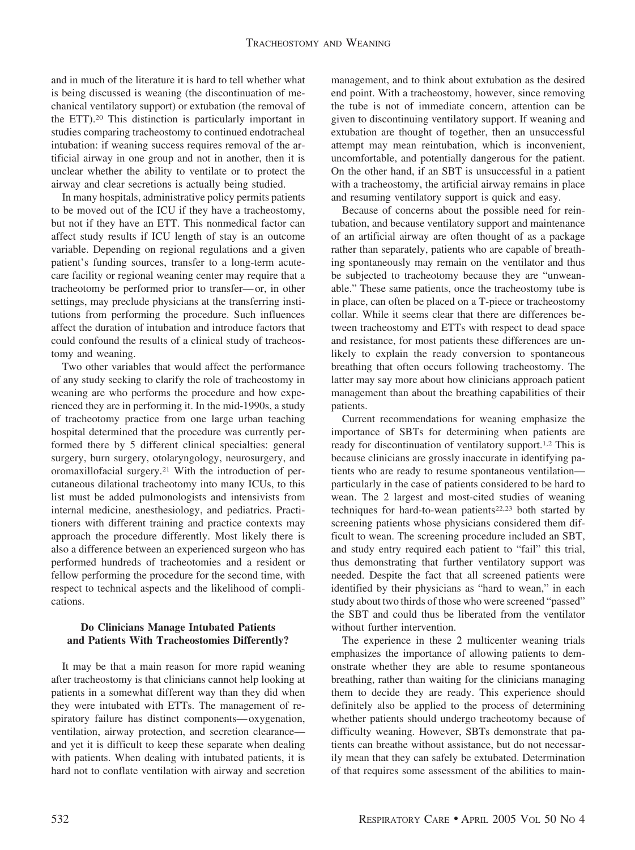and in much of the literature it is hard to tell whether what is being discussed is weaning (the discontinuation of mechanical ventilatory support) or extubation (the removal of the ETT).20 This distinction is particularly important in studies comparing tracheostomy to continued endotracheal intubation: if weaning success requires removal of the artificial airway in one group and not in another, then it is unclear whether the ability to ventilate or to protect the airway and clear secretions is actually being studied.

In many hospitals, administrative policy permits patients to be moved out of the ICU if they have a tracheostomy, but not if they have an ETT. This nonmedical factor can affect study results if ICU length of stay is an outcome variable. Depending on regional regulations and a given patient's funding sources, transfer to a long-term acutecare facility or regional weaning center may require that a tracheotomy be performed prior to transfer—or, in other settings, may preclude physicians at the transferring institutions from performing the procedure. Such influences affect the duration of intubation and introduce factors that could confound the results of a clinical study of tracheostomy and weaning.

Two other variables that would affect the performance of any study seeking to clarify the role of tracheostomy in weaning are who performs the procedure and how experienced they are in performing it. In the mid-1990s, a study of tracheotomy practice from one large urban teaching hospital determined that the procedure was currently performed there by 5 different clinical specialties: general surgery, burn surgery, otolaryngology, neurosurgery, and oromaxillofacial surgery.21 With the introduction of percutaneous dilational tracheotomy into many ICUs, to this list must be added pulmonologists and intensivists from internal medicine, anesthesiology, and pediatrics. Practitioners with different training and practice contexts may approach the procedure differently. Most likely there is also a difference between an experienced surgeon who has performed hundreds of tracheotomies and a resident or fellow performing the procedure for the second time, with respect to technical aspects and the likelihood of complications.

## **Do Clinicians Manage Intubated Patients and Patients With Tracheostomies Differently?**

It may be that a main reason for more rapid weaning after tracheostomy is that clinicians cannot help looking at patients in a somewhat different way than they did when they were intubated with ETTs. The management of respiratory failure has distinct components—oxygenation, ventilation, airway protection, and secretion clearance and yet it is difficult to keep these separate when dealing with patients. When dealing with intubated patients, it is hard not to conflate ventilation with airway and secretion management, and to think about extubation as the desired end point. With a tracheostomy, however, since removing the tube is not of immediate concern, attention can be given to discontinuing ventilatory support. If weaning and extubation are thought of together, then an unsuccessful attempt may mean reintubation, which is inconvenient, uncomfortable, and potentially dangerous for the patient. On the other hand, if an SBT is unsuccessful in a patient with a tracheostomy, the artificial airway remains in place and resuming ventilatory support is quick and easy.

Because of concerns about the possible need for reintubation, and because ventilatory support and maintenance of an artificial airway are often thought of as a package rather than separately, patients who are capable of breathing spontaneously may remain on the ventilator and thus be subjected to tracheotomy because they are "unweanable." These same patients, once the tracheostomy tube is in place, can often be placed on a T-piece or tracheostomy collar. While it seems clear that there are differences between tracheostomy and ETTs with respect to dead space and resistance, for most patients these differences are unlikely to explain the ready conversion to spontaneous breathing that often occurs following tracheostomy. The latter may say more about how clinicians approach patient management than about the breathing capabilities of their patients.

Current recommendations for weaning emphasize the importance of SBTs for determining when patients are ready for discontinuation of ventilatory support.1,2 This is because clinicians are grossly inaccurate in identifying patients who are ready to resume spontaneous ventilation particularly in the case of patients considered to be hard to wean. The 2 largest and most-cited studies of weaning techniques for hard-to-wean patients<sup>22,23</sup> both started by screening patients whose physicians considered them difficult to wean. The screening procedure included an SBT, and study entry required each patient to "fail" this trial, thus demonstrating that further ventilatory support was needed. Despite the fact that all screened patients were identified by their physicians as "hard to wean," in each study about two thirds of those who were screened "passed" the SBT and could thus be liberated from the ventilator without further intervention.

The experience in these 2 multicenter weaning trials emphasizes the importance of allowing patients to demonstrate whether they are able to resume spontaneous breathing, rather than waiting for the clinicians managing them to decide they are ready. This experience should definitely also be applied to the process of determining whether patients should undergo tracheotomy because of difficulty weaning. However, SBTs demonstrate that patients can breathe without assistance, but do not necessarily mean that they can safely be extubated. Determination of that requires some assessment of the abilities to main